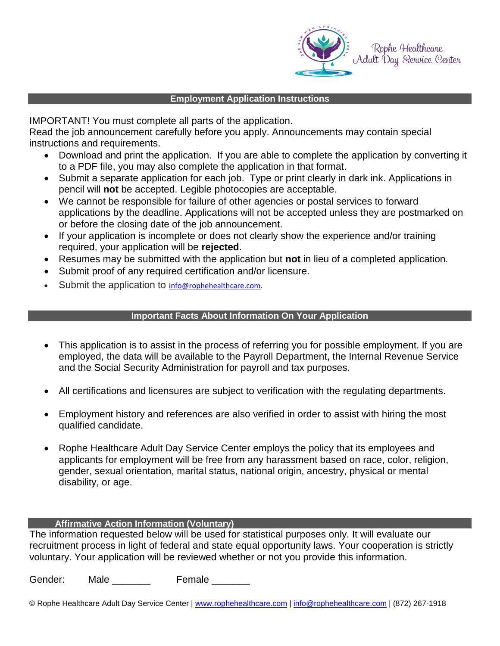

#### **Employment Application Instructions**

IMPORTANT! You must complete all parts of the application.

Read the job announcement carefully before you apply. Announcements may contain special instructions and requirements.

- Download and print the application. If you are able to complete the application by converting it to a PDF file, you may also complete the application in that format.
- Submit a separate application for each job. Type or print clearly in dark ink. Applications in pencil will **not** be accepted. Legible photocopies are acceptable.
- We cannot be responsible for failure of other agencies or postal services to forward applications by the deadline. Applications will not be accepted unless they are postmarked on or before the closing date of the job announcement.
- If your application is incomplete or does not clearly show the experience and/or training required, your application will be **rejected**.
- Resumes may be submitted with the application but **not** in lieu of a completed application.
- Submit proof of any required certification and/or licensure.
- Submit the application to [info@rophehealthcare.com.](mailto:info@rophehealthcare.com)

## **Important Facts About Information On Your Application**

- This application is to assist in the process of referring you for possible employment. If you are employed, the data will be available to the Payroll Department, the Internal Revenue Service and the Social Security Administration for payroll and tax purposes.
- All certifications and licensures are subject to verification with the regulating departments.
- Employment history and references are also verified in order to assist with hiring the most qualified candidate.
- Rophe Healthcare Adult Day Service Center employs the policy that its employees and applicants for employment will be free from any harassment based on race, color, religion, gender, sexual orientation, marital status, national origin, ancestry, physical or mental disability, or age.

### **Affirmative Action Information (Voluntary)**

The information requested below will be used for statistical purposes only. It will evaluate our recruitment process in light of federal and state equal opportunity laws. Your cooperation is strictly voluntary. Your application will be reviewed whether or not you provide this information.

Gender: Male **Female** 

© Rophe Healthcare Adult Day Service Center | [www.rophehealthcare.com](http://www.rophehealthcare.com/) | [info@rophehealthcare.com](mailto:info@rophehealthcare.com) | (872) 267-1918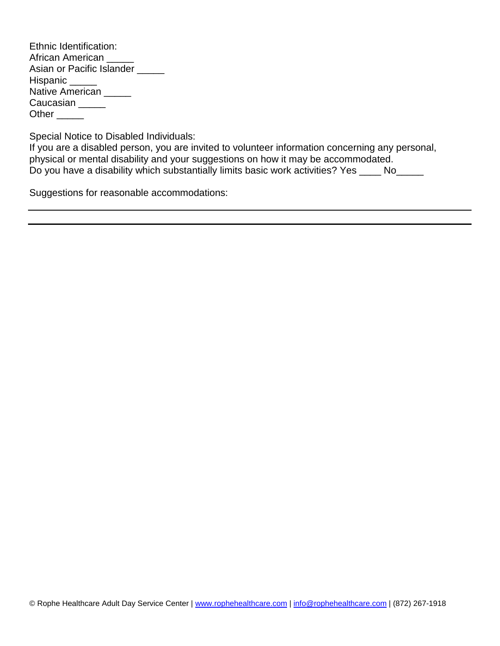| Ethnic Identification:    |  |
|---------------------------|--|
| African American          |  |
| Asian or Pacific Islander |  |
| Hispanic _____            |  |
| Native American           |  |
| Caucasian                 |  |
| Other                     |  |

Special Notice to Disabled Individuals:

If you are a disabled person, you are invited to volunteer information concerning any personal, physical or mental disability and your suggestions on how it may be accommodated. Do you have a disability which substantially limits basic work activities? Yes \_\_\_\_ No\_\_\_\_\_

Suggestions for reasonable accommodations: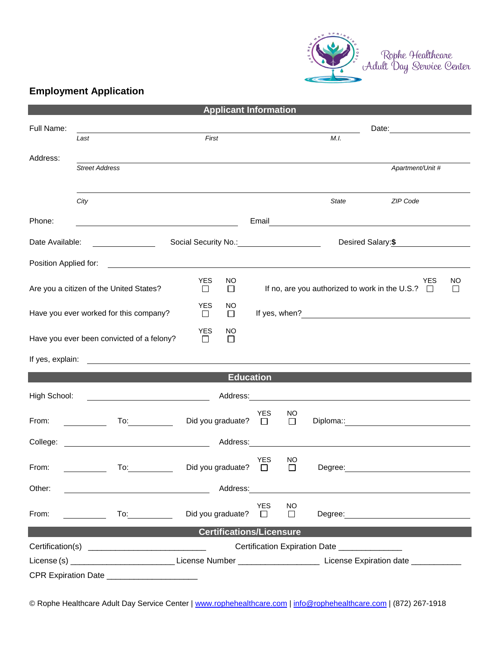

# **Employment Application**

| <b>Applicant Information</b>                                                                                                                                                  |                                                                                                                                                                                                                                      |                                               |                  |                       |               |         |                                                                                                                                                                                                                               |        |
|-------------------------------------------------------------------------------------------------------------------------------------------------------------------------------|--------------------------------------------------------------------------------------------------------------------------------------------------------------------------------------------------------------------------------------|-----------------------------------------------|------------------|-----------------------|---------------|---------|-------------------------------------------------------------------------------------------------------------------------------------------------------------------------------------------------------------------------------|--------|
| Full Name:                                                                                                                                                                    |                                                                                                                                                                                                                                      |                                               |                  |                       |               |         | Date: 2008                                                                                                                                                                                                                    |        |
|                                                                                                                                                                               | Last                                                                                                                                                                                                                                 | First                                         |                  |                       |               | M.I.    |                                                                                                                                                                                                                               |        |
| Address:                                                                                                                                                                      |                                                                                                                                                                                                                                      |                                               |                  |                       |               |         |                                                                                                                                                                                                                               |        |
|                                                                                                                                                                               | <b>Street Address</b>                                                                                                                                                                                                                |                                               |                  |                       |               |         | Apartment/Unit #                                                                                                                                                                                                              |        |
|                                                                                                                                                                               |                                                                                                                                                                                                                                      |                                               |                  |                       |               |         |                                                                                                                                                                                                                               |        |
|                                                                                                                                                                               | City                                                                                                                                                                                                                                 |                                               |                  |                       |               | State   | ZIP Code                                                                                                                                                                                                                      |        |
| Phone:                                                                                                                                                                        |                                                                                                                                                                                                                                      |                                               |                  |                       |               |         |                                                                                                                                                                                                                               |        |
|                                                                                                                                                                               | <u> 1989 - Johann Stoff, Amerikaansk politiker (</u>                                                                                                                                                                                 |                                               |                  |                       |               |         |                                                                                                                                                                                                                               |        |
| Date Available:                                                                                                                                                               |                                                                                                                                                                                                                                      | Social Security No.: _____________________    |                  |                       |               |         | Desired Salary:\$                                                                                                                                                                                                             |        |
| Position Applied for:                                                                                                                                                         | <u> 1989 - Johann Stein, fransk kampens og det forskellige og det forskellige og det forskellige og det forskell</u>                                                                                                                 |                                               |                  |                       |               |         |                                                                                                                                                                                                                               |        |
|                                                                                                                                                                               |                                                                                                                                                                                                                                      | <b>YES</b>                                    | NO               |                       |               |         | <b>YES</b>                                                                                                                                                                                                                    | NO     |
|                                                                                                                                                                               | Are you a citizen of the United States?                                                                                                                                                                                              | $\Box$                                        | □                |                       |               |         | If no, are you authorized to work in the U.S.? $\Box$                                                                                                                                                                         | $\Box$ |
|                                                                                                                                                                               | Have you ever worked for this company?                                                                                                                                                                                               | <b>YES</b><br>$\Box$                          | NO.<br>$\Box$    |                       |               |         |                                                                                                                                                                                                                               |        |
|                                                                                                                                                                               |                                                                                                                                                                                                                                      |                                               |                  |                       |               |         |                                                                                                                                                                                                                               |        |
| <b>YES</b><br>NO<br>Have you ever been convicted of a felony?<br>$\Box$<br>$\Box$                                                                                             |                                                                                                                                                                                                                                      |                                               |                  |                       |               |         |                                                                                                                                                                                                                               |        |
|                                                                                                                                                                               | If yes, explain: <u>example and the set of the set of the set of the set of the set of the set of the set of the set of the set of the set of the set of the set of the set of the set of the set of the set of the set of the s</u> |                                               |                  |                       |               |         |                                                                                                                                                                                                                               |        |
|                                                                                                                                                                               |                                                                                                                                                                                                                                      |                                               | <b>Education</b> |                       |               |         |                                                                                                                                                                                                                               |        |
|                                                                                                                                                                               |                                                                                                                                                                                                                                      |                                               |                  |                       |               |         |                                                                                                                                                                                                                               |        |
| High School:                                                                                                                                                                  | <u> 1989 - Johann Barn, fransk politik (</u>                                                                                                                                                                                         |                                               |                  |                       |               |         |                                                                                                                                                                                                                               |        |
| From:                                                                                                                                                                         | $To:$ and $\Box$                                                                                                                                                                                                                     | Did you graduate?                             |                  | <b>YES</b><br>$\Box$  | NO.<br>$\Box$ |         | Diploma:: and the contract of the contract of the contract of the contract of the contract of the contract of the contract of the contract of the contract of the contract of the contract of the contract of the contract of |        |
|                                                                                                                                                                               |                                                                                                                                                                                                                                      |                                               |                  |                       |               |         |                                                                                                                                                                                                                               |        |
| Address:<br>College:                                                                                                                                                          |                                                                                                                                                                                                                                      |                                               |                  |                       |               |         |                                                                                                                                                                                                                               |        |
| From:                                                                                                                                                                         | To:                                                                                                                                                                                                                                  | Did you graduate?                             |                  | <b>YES</b><br>$\Box$  | NO<br>П       | Degree: |                                                                                                                                                                                                                               |        |
|                                                                                                                                                                               |                                                                                                                                                                                                                                      |                                               |                  |                       |               |         |                                                                                                                                                                                                                               |        |
| Other:<br>Address:                                                                                                                                                            |                                                                                                                                                                                                                                      |                                               |                  |                       |               |         |                                                                                                                                                                                                                               |        |
| From:                                                                                                                                                                         | $\overline{a}$ To: $\overline{a}$<br><u> 1990 - Jan Barton, p</u>                                                                                                                                                                    | Did you graduate?                             |                  | <b>YES</b><br>$\perp$ | NO<br>$\Box$  |         | Degree: <u>__________________________</u>                                                                                                                                                                                     |        |
|                                                                                                                                                                               |                                                                                                                                                                                                                                      |                                               |                  |                       |               |         |                                                                                                                                                                                                                               |        |
| <b>Certifications/Licensure</b>                                                                                                                                               |                                                                                                                                                                                                                                      |                                               |                  |                       |               |         |                                                                                                                                                                                                                               |        |
|                                                                                                                                                                               |                                                                                                                                                                                                                                      | Certification Expiration Date _______________ |                  |                       |               |         |                                                                                                                                                                                                                               |        |
| License (s) _______________________________License Number _____________________________License Expiration date ______________<br>CPR Expiration Date ________________________ |                                                                                                                                                                                                                                      |                                               |                  |                       |               |         |                                                                                                                                                                                                                               |        |
|                                                                                                                                                                               |                                                                                                                                                                                                                                      |                                               |                  |                       |               |         |                                                                                                                                                                                                                               |        |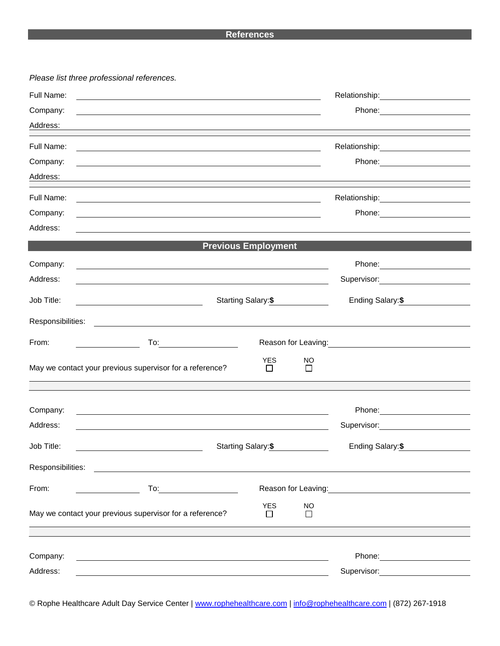#### **References**

*Please list three professional references.*

| Full Name:        |                                                                                                                                                  |                            |                     |                                                                                                                                                                                                                                        |  |
|-------------------|--------------------------------------------------------------------------------------------------------------------------------------------------|----------------------------|---------------------|----------------------------------------------------------------------------------------------------------------------------------------------------------------------------------------------------------------------------------------|--|
| Company:          |                                                                                                                                                  |                            |                     | Phone: <u>_________________</u>                                                                                                                                                                                                        |  |
| Address:          |                                                                                                                                                  |                            |                     |                                                                                                                                                                                                                                        |  |
| Full Name:        |                                                                                                                                                  |                            |                     |                                                                                                                                                                                                                                        |  |
| Company:          | and the control of the control of the control of the control of the control of the control of the control of the                                 |                            |                     |                                                                                                                                                                                                                                        |  |
| Address:          |                                                                                                                                                  |                            |                     |                                                                                                                                                                                                                                        |  |
|                   | and the control of the control of the control of the control of the control of the control of the control of the                                 |                            |                     |                                                                                                                                                                                                                                        |  |
| Full Name:        |                                                                                                                                                  |                            |                     | Relationship: 2000                                                                                                                                                                                                                     |  |
| Company:          |                                                                                                                                                  |                            |                     | Phone: 2008 2010 2010 2010 2010 2010 2021 2022 2023 2024 2022 2023 2024 2025 2026 2027 2028 2029 2020 2021 20                                                                                                                          |  |
| Address:          |                                                                                                                                                  |                            |                     |                                                                                                                                                                                                                                        |  |
|                   |                                                                                                                                                  | <b>Previous Employment</b> |                     |                                                                                                                                                                                                                                        |  |
| Company:          | and the control of the control of the control of the control of the control of the control of the control of the                                 |                            |                     |                                                                                                                                                                                                                                        |  |
| Address:          | and the control of the control of the control of the control of the control of the control of the control of the                                 |                            |                     | Supervisor: Victor Control of Control Control Control Control Control Control Control Control Control Control Co                                                                                                                       |  |
| Job Title:        | Starting Salary: \$                                                                                                                              | Ending Salary:\$           |                     |                                                                                                                                                                                                                                        |  |
| Responsibilities: | <u> 1989 - John Stein, Amerikaansk politiker (</u> † 1920)                                                                                       |                            |                     |                                                                                                                                                                                                                                        |  |
| From:             | $To: \begin{tabular}{ c c c } \hline \quad \quad & \quad \quad & \quad \quad \\ \hline \end{tabular}$<br><u> 1990 - Johann Barbara, martin a</u> |                            |                     | Reason for Leaving:<br><u>Next and the manufacture of the set of the set of the set of the set of the set of the set of the set of the set of the set of the set of the set of the set of the set of the set of the set of the set</u> |  |
|                   | May we contact your previous supervisor for a reference?                                                                                         | <b>YES</b><br>$\Box$       | <b>NO</b><br>$\Box$ |                                                                                                                                                                                                                                        |  |
|                   |                                                                                                                                                  |                            |                     |                                                                                                                                                                                                                                        |  |
| Company:          |                                                                                                                                                  |                            |                     | Phone: 2000 2000 2010 2010 2010 2010 2021 2022 2022 2023 2024 2022 2023 2024 2025 2026 2027 2028 2020 2021 20                                                                                                                          |  |
| Address:          |                                                                                                                                                  |                            |                     | Supervisor: 2000                                                                                                                                                                                                                       |  |
| Job Title:        |                                                                                                                                                  | Starting Salary: \$        |                     | Ending Salary: \$                                                                                                                                                                                                                      |  |
| Responsibilities: | <u> 1989 - Johann Harry Harry Harry Harry Harry Harry Harry Harry Harry Harry Harry Harry Harry Harry Harry Harry</u>                            |                            |                     |                                                                                                                                                                                                                                        |  |
| From:             | To: ________________                                                                                                                             |                            |                     | Reason for Leaving: Network of the Manuscript of the Manuscript of the Manuscript of the Manuscript of the Manuscript of the Manuscript of the Manuscript of the Manuscript of the Manuscript of the Manuscript of the Manuscr         |  |
|                   | May we contact your previous supervisor for a reference?                                                                                         | <b>YES</b><br>П            | <b>NO</b><br>П      |                                                                                                                                                                                                                                        |  |
|                   |                                                                                                                                                  |                            |                     |                                                                                                                                                                                                                                        |  |
| Company:          |                                                                                                                                                  |                            |                     |                                                                                                                                                                                                                                        |  |
| Address:          |                                                                                                                                                  |                            |                     | Supervisor: <u>_______________</u>                                                                                                                                                                                                     |  |
|                   |                                                                                                                                                  |                            |                     |                                                                                                                                                                                                                                        |  |

© Rophe Healthcare Adult Day Service Center | [www.rophehealthcare.com](http://www.rophehealthcare.com/) | [info@rophehealthcare.com](mailto:info@rophehealthcare.com) | (872) 267-1918